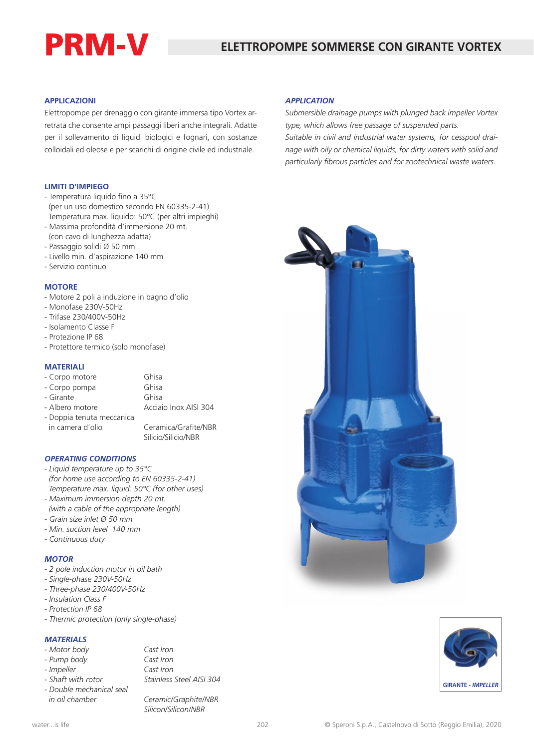# PRM-V

#### **APPLICAZIONI**

Elettropompe per drenaggio con girante immersa tipo Vortex arretrata che consente ampi passaggi liberi anche integrali. Adatte per il sollevamento di liquidi biologici e fognari, con sostanze colloidali ed oleose e per scarichi di origine civile ed industriale.

#### **LIMITI D'IMPIEGO**

- Temperatura liquido fino a 35°C (per un uso domestico secondo EN 60335-2-41) Temperatura max. liquido: 50°C (per altri impieghi)
- Massima profondità d'immersione 20 mt. (con cavo di lunghezza adatta)
- Passaggio solidi Ø 50 mm
- Livello min. d'aspirazione 140 mm
- Servizio continuo

#### **MOTORE**

- Motore 2 poli a induzione in bagno d'olio
- Monofase 230V-50Hz
- Trifase 230/400V-50Hz
- Isolamento Classe F
- Protezione IP 68
- Protettore termico (solo monofase)

#### **MATERIALI**

- Corpo motore Ghisa - Corpo pompa Ghisa - Girante Ghisa<br>- Albero motore Caciai Acciaio Inox AISI 304 - Doppia tenuta meccanica

 in camera d'olio Ceramica/Grafite/NBR Silicio/Silicio/NBR

#### *OPERATING CONDITIONS*

- *Liquid temperature up to 35°C (for home use according to EN 60335-2-41) Temperature max. liquid: 50°C (for other uses)*
- *Maximum immersion depth 20 mt.*
- *(with a cable of the appropriate length)*
- *Grain size inlet Ø 50 mm*
- *Min. suction level 140 mm*
- *Continuous duty*

#### *MOTOR*

- *2 pole induction motor in oil bath*
- *Single-phase 230V-50Hz*
- *Three-phase 230/400V-50Hz*
- *Insulation Class F*
- *Protection IP 68*
- *Thermic protection (only single-phase)*

### *MATERIALS*

- *Motor body Cast Iron*
- 
- 
- *Pump body Cast Iron - Impeller Cast Iron - Shaft with rotor Stainless Steel AISI 304*
- *Double mechanical seal in oil chamber Ceramic/Graphite/NBR Silicon/Silicon/NBR*

#### *APPLICATION*

*Submersible drainage pumps with plunged back impeller Vortex type, which allows free passage of suspended parts.*

*Suitable in civil and industrial water systems, for cesspool drainage with oily or chemical liquids, for dirty waters with solid and particularly fibrous particles and for zootechnical waste waters.*